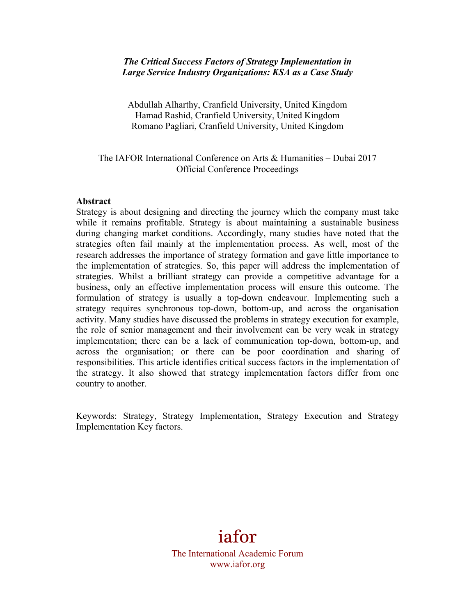## *The Critical Success Factors of Strategy Implementation in Large Service Industry Organizations: KSA as a Case Study*

Abdullah Alharthy, Cranfield University, United Kingdom Hamad Rashid, Cranfield University, United Kingdom Romano Pagliari, Cranfield University, United Kingdom

## The IAFOR International Conference on Arts & Humanities – Dubai 2017 Official Conference Proceedings

#### **Abstract**

Strategy is about designing and directing the journey which the company must take while it remains profitable. Strategy is about maintaining a sustainable business during changing market conditions. Accordingly, many studies have noted that the strategies often fail mainly at the implementation process. As well, most of the research addresses the importance of strategy formation and gave little importance to the implementation of strategies. So, this paper will address the implementation of strategies. Whilst a brilliant strategy can provide a competitive advantage for a business, only an effective implementation process will ensure this outcome. The formulation of strategy is usually a top-down endeavour. Implementing such a strategy requires synchronous top-down, bottom-up, and across the organisation activity. Many studies have discussed the problems in strategy execution for example, the role of senior management and their involvement can be very weak in strategy implementation; there can be a lack of communication top-down, bottom-up, and across the organisation; or there can be poor coordination and sharing of responsibilities. This article identifies critical success factors in the implementation of the strategy. It also showed that strategy implementation factors differ from one country to another.

Keywords: Strategy, Strategy Implementation, Strategy Execution and Strategy Implementation Key factors.

# iafor

The International Academic Forum www.iafor.org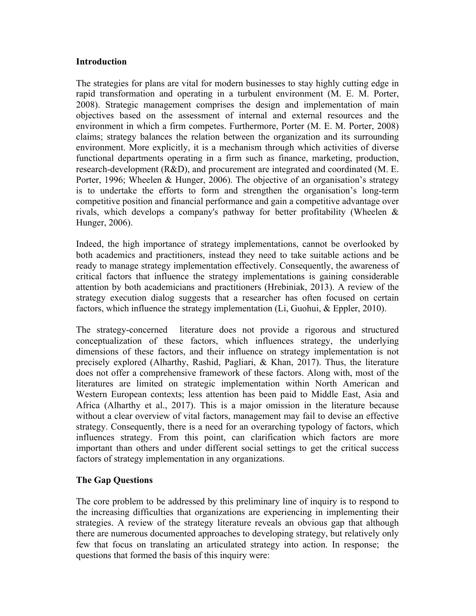## **Introduction**

The strategies for plans are vital for modern businesses to stay highly cutting edge in rapid transformation and operating in a turbulent environment (M. E. M. Porter, 2008). Strategic management comprises the design and implementation of main objectives based on the assessment of internal and external resources and the environment in which a firm competes. Furthermore, Porter (M. E. M. Porter, 2008) claims; strategy balances the relation between the organization and its surrounding environment. More explicitly, it is a mechanism through which activities of diverse functional departments operating in a firm such as finance, marketing, production, research-development (R&D), and procurement are integrated and coordinated (M. E. Porter, 1996; Wheelen & Hunger, 2006). The objective of an organisation's strategy is to undertake the efforts to form and strengthen the organisation's long-term competitive position and financial performance and gain a competitive advantage over rivals, which develops a company's pathway for better profitability (Wheelen & Hunger, 2006).

Indeed, the high importance of strategy implementations, cannot be overlooked by both academics and practitioners, instead they need to take suitable actions and be ready to manage strategy implementation effectively. Consequently, the awareness of critical factors that influence the strategy implementations is gaining considerable attention by both academicians and practitioners (Hrebiniak, 2013). A review of the strategy execution dialog suggests that a researcher has often focused on certain factors, which influence the strategy implementation (Li, Guohui, & Eppler, 2010).

The strategy-concerned literature does not provide a rigorous and structured conceptualization of these factors, which influences strategy, the underlying dimensions of these factors, and their influence on strategy implementation is not precisely explored (Alharthy, Rashid, Pagliari, & Khan, 2017). Thus, the literature does not offer a comprehensive framework of these factors. Along with, most of the literatures are limited on strategic implementation within North American and Western European contexts; less attention has been paid to Middle East, Asia and Africa (Alharthy et al., 2017). This is a major omission in the literature because without a clear overview of vital factors, management may fail to devise an effective strategy. Consequently, there is a need for an overarching typology of factors, which influences strategy. From this point, can clarification which factors are more important than others and under different social settings to get the critical success factors of strategy implementation in any organizations.

## **The Gap Questions**

The core problem to be addressed by this preliminary line of inquiry is to respond to the increasing difficulties that organizations are experiencing in implementing their strategies. A review of the strategy literature reveals an obvious gap that although there are numerous documented approaches to developing strategy, but relatively only few that focus on translating an articulated strategy into action. In response; the questions that formed the basis of this inquiry were: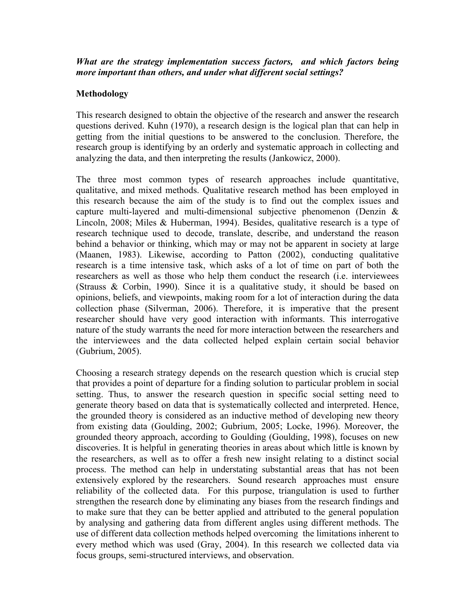*What are the strategy implementation success factors, and which factors being more important than others, and under what different social settings?*

## **Methodology**

This research designed to obtain the objective of the research and answer the research questions derived. Kuhn (1970), a research design is the logical plan that can help in getting from the initial questions to be answered to the conclusion. Therefore, the research group is identifying by an orderly and systematic approach in collecting and analyzing the data, and then interpreting the results (Jankowicz, 2000).

The three most common types of research approaches include quantitative, qualitative, and mixed methods. Qualitative research method has been employed in this research because the aim of the study is to find out the complex issues and capture multi-layered and multi-dimensional subjective phenomenon (Denzin & Lincoln, 2008; Miles & Huberman, 1994). Besides, qualitative research is a type of research technique used to decode, translate, describe, and understand the reason behind a behavior or thinking, which may or may not be apparent in society at large (Maanen, 1983). Likewise, according to Patton (2002), conducting qualitative research is a time intensive task, which asks of a lot of time on part of both the researchers as well as those who help them conduct the research (i.e. interviewees (Strauss & Corbin, 1990). Since it is a qualitative study, it should be based on opinions, beliefs, and viewpoints, making room for a lot of interaction during the data collection phase (Silverman, 2006). Therefore, it is imperative that the present researcher should have very good interaction with informants. This interrogative nature of the study warrants the need for more interaction between the researchers and the interviewees and the data collected helped explain certain social behavior (Gubrium, 2005).

Choosing a research strategy depends on the research question which is crucial step that provides a point of departure for a finding solution to particular problem in social setting. Thus, to answer the research question in specific social setting need to generate theory based on data that is systematically collected and interpreted. Hence, the grounded theory is considered as an inductive method of developing new theory from existing data (Goulding, 2002; Gubrium, 2005; Locke, 1996). Moreover, the grounded theory approach, according to Goulding (Goulding, 1998), focuses on new discoveries. It is helpful in generating theories in areas about which little is known by the researchers, as well as to offer a fresh new insight relating to a distinct social process. The method can help in understating substantial areas that has not been extensively explored by the researchers. Sound research approaches must ensure reliability of the collected data. For this purpose, triangulation is used to further strengthen the research done by eliminating any biases from the research findings and to make sure that they can be better applied and attributed to the general population by analysing and gathering data from different angles using different methods. The use of different data collection methods helped overcoming the limitations inherent to every method which was used (Gray, 2004). In this research we collected data via focus groups, semi-structured interviews, and observation.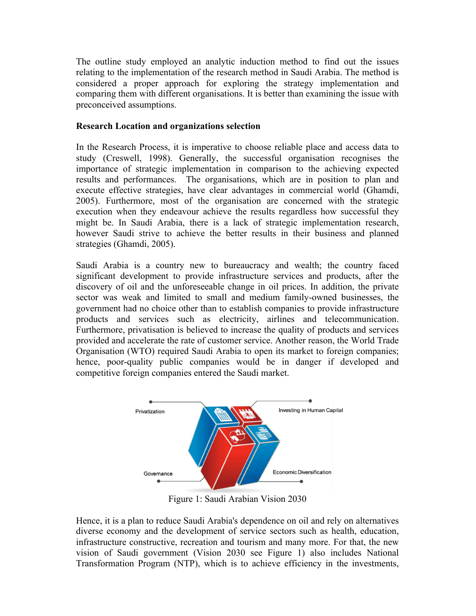The outline study employed an analytic induction method to find out the issues relating to the implementation of the research method in Saudi Arabia. The method is considered a proper approach for exploring the strategy implementation and comparing them with different organisations. It is better than examining the issue with preconceived assumptions.

## **Research Location and organizations selection**

In the Research Process, it is imperative to choose reliable place and access data to study (Creswell, 1998). Generally, the successful organisation recognises the importance of strategic implementation in comparison to the achieving expected results and performances. The organisations, which are in position to plan and execute effective strategies, have clear advantages in commercial world (Ghamdi, 2005). Furthermore, most of the organisation are concerned with the strategic execution when they endeavour achieve the results regardless how successful they might be. In Saudi Arabia, there is a lack of strategic implementation research, however Saudi strive to achieve the better results in their business and planned strategies (Ghamdi, 2005).

Saudi Arabia is a country new to bureaucracy and wealth; the country faced significant development to provide infrastructure services and products, after the discovery of oil and the unforeseeable change in oil prices. In addition, the private sector was weak and limited to small and medium family-owned businesses, the government had no choice other than to establish companies to provide infrastructure products and services such as electricity, airlines and telecommunication. Furthermore, privatisation is believed to increase the quality of products and services provided and accelerate the rate of customer service. Another reason, the World Trade Organisation (WTO) required Saudi Arabia to open its market to foreign companies; hence, poor-quality public companies would be in danger if developed and competitive foreign companies entered the Saudi market.



Figure 1: Saudi Arabian Vision 2030

Hence, it is a plan to reduce Saudi Arabia's dependence on oil and rely on alternatives diverse economy and the development of service sectors such as health, education, infrastructure constructive, recreation and tourism and many more. For that, the new vision of Saudi government (Vision 2030 see Figure 1) also includes National Transformation Program (NTP), which is to achieve efficiency in the investments,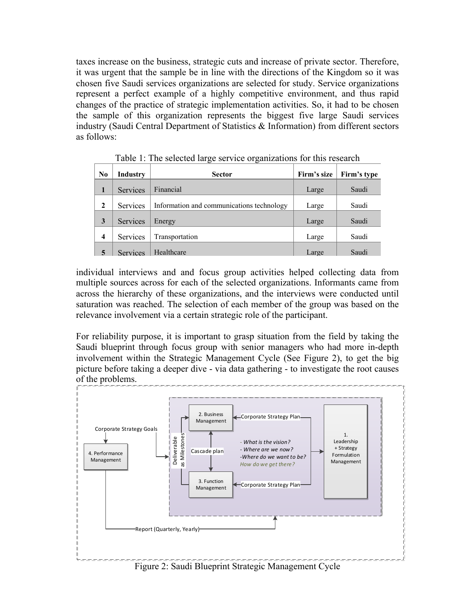taxes increase on the business, strategic cuts and increase of private sector. Therefore, it was urgent that the sample be in line with the directions of the Kingdom so it was chosen five Saudi services organizations are selected for study. Service organizations represent a perfect example of a highly competitive environment, and thus rapid changes of the practice of strategic implementation activities. So, it had to be chosen the sample of this organization represents the biggest five large Saudi services industry (Saudi Central Department of Statistics & Information) from different sectors as follows:

| $    -$<br>- <del>, ,</del> |                 |                                           |             |             |
|-----------------------------|-----------------|-------------------------------------------|-------------|-------------|
| No                          | <b>Industry</b> | <b>Sector</b>                             | Firm's size | Firm's type |
|                             | Services        | Financial                                 | Large       | Saudi       |
| $\mathbf{2}$                | Services        | Information and communications technology | Large       | Saudi       |
| 3                           | Services        | Energy                                    | Large       | Saudi       |
| 4                           | Services        | Transportation                            | Large       | Saudi       |
|                             | <b>Services</b> | Healthcare                                | Large       | Saudi       |

Table 1: The selected large service organizations for this research

individual interviews and and focus group activities helped collecting data from multiple sources across for each of the selected organizations. Informants came from across the hierarchy of these organizations, and the interviews were conducted until saturation was reached. The selection of each member of the group was based on the relevance involvement via a certain strategic role of the participant.

For reliability purpose, it is important to grasp situation from the field by taking the Saudi blueprint through focus group with senior managers who had more in-depth involvement within the Strategic Management Cycle (See Figure 2), to get the big picture before taking a deeper dive - via data gathering - to investigate the root causes of the problems.

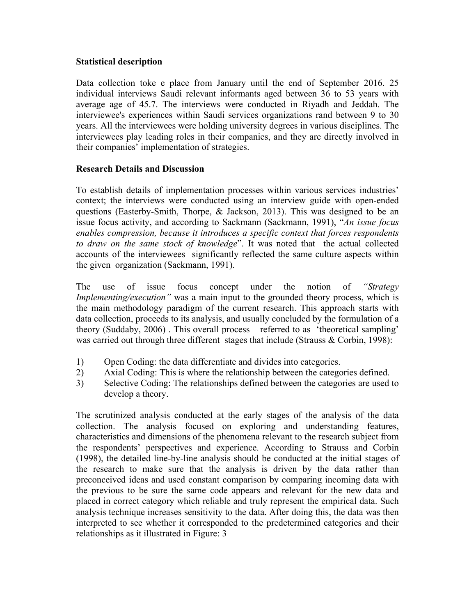## **Statistical description**

Data collection toke e place from January until the end of September 2016. 25 individual interviews Saudi relevant informants aged between 36 to 53 years with average age of 45.7. The interviews were conducted in Riyadh and Jeddah. The interviewee's experiences within Saudi services organizations rand between 9 to 30 years. All the interviewees were holding university degrees in various disciplines. The interviewees play leading roles in their companies, and they are directly involved in their companies' implementation of strategies.

## **Research Details and Discussion**

To establish details of implementation processes within various services industries' context; the interviews were conducted using an interview guide with open-ended questions (Easterby-Smith, Thorpe, & Jackson, 2013). This was designed to be an issue focus activity, and according to Sackmann (Sackmann, 1991), "*An issue focus enables compression, because it introduces a specific context that forces respondents to draw on the same stock of knowledge*". It was noted that the actual collected accounts of the interviewees significantly reflected the same culture aspects within the given organization (Sackmann, 1991).

The use of issue focus concept under the notion of *"Strategy Implementing/execution*" was a main input to the grounded theory process, which is the main methodology paradigm of the current research. This approach starts with data collection, proceeds to its analysis, and usually concluded by the formulation of a theory (Suddaby, 2006) . This overall process – referred to as 'theoretical sampling' was carried out through three different stages that include (Strauss & Corbin, 1998):

- 1) Open Coding: the data differentiate and divides into categories.
- 2) Axial Coding: This is where the relationship between the categories defined.
- 3) Selective Coding: The relationships defined between the categories are used to develop a theory.

The scrutinized analysis conducted at the early stages of the analysis of the data collection. The analysis focused on exploring and understanding features, characteristics and dimensions of the phenomena relevant to the research subject from the respondents' perspectives and experience. According to Strauss and Corbin (1998), the detailed line-by-line analysis should be conducted at the initial stages of the research to make sure that the analysis is driven by the data rather than preconceived ideas and used constant comparison by comparing incoming data with the previous to be sure the same code appears and relevant for the new data and placed in correct category which reliable and truly represent the empirical data. Such analysis technique increases sensitivity to the data. After doing this, the data was then interpreted to see whether it corresponded to the predetermined categories and their relationships as it illustrated in Figure: 3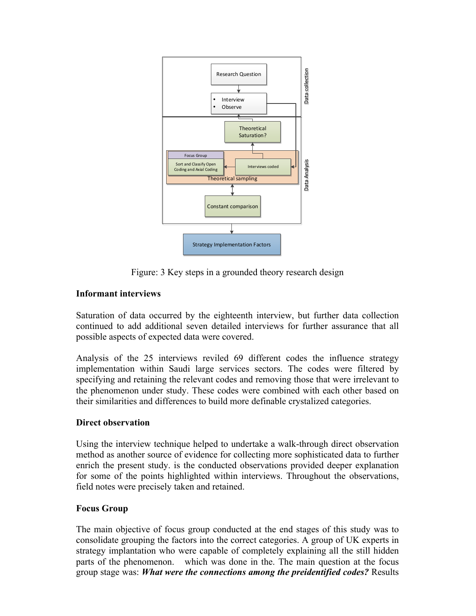

Figure: 3 Key steps in a grounded theory research design

# **Informant interviews**

Saturation of data occurred by the eighteenth interview, but further data collection continued to add additional seven detailed interviews for further assurance that all possible aspects of expected data were covered.

Analysis of the 25 interviews reviled 69 different codes the influence strategy implementation within Saudi large services sectors. The codes were filtered by specifying and retaining the relevant codes and removing those that were irrelevant to the phenomenon under study. These codes were combined with each other based on their similarities and differences to build more definable crystalized categories.

## **Direct observation**

Using the interview technique helped to undertake a walk-through direct observation method as another source of evidence for collecting more sophisticated data to further enrich the present study. is the conducted observations provided deeper explanation for some of the points highlighted within interviews. Throughout the observations, field notes were precisely taken and retained.

# **Focus Group**

The main objective of focus group conducted at the end stages of this study was to consolidate grouping the factors into the correct categories. A group of UK experts in strategy implantation who were capable of completely explaining all the still hidden parts of the phenomenon. which was done in the. The main question at the focus group stage was: *What were the connections among the preidentified codes?* Results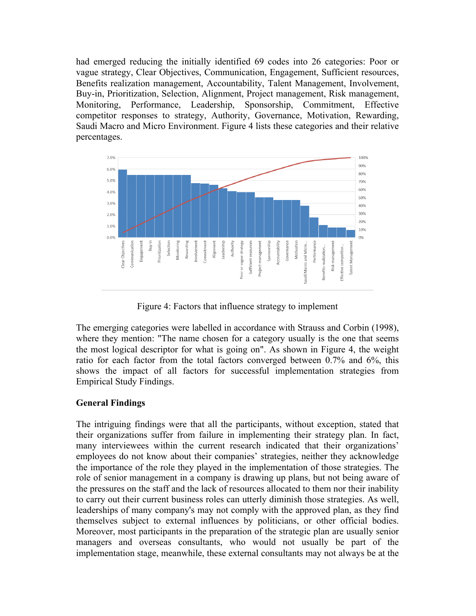had emerged reducing the initially identified 69 codes into 26 categories: Poor or vague strategy, Clear Objectives, Communication, Engagement, Sufficient resources, Benefits realization management, Accountability, Talent Management, Involvement, Buy-in, Prioritization, Selection, Alignment, Project management, Risk management, Monitoring, Performance, Leadership, Sponsorship, Commitment, Effective competitor responses to strategy, Authority, Governance, Motivation, Rewarding, Saudi Macro and Micro Environment. Figure 4 lists these categories and their relative percentages.



Figure 4: Factors that influence strategy to implement

The emerging categories were labelled in accordance with Strauss and Corbin (1998), where they mention: "The name chosen for a category usually is the one that seems the most logical descriptor for what is going on". As shown in Figure 4, the weight ratio for each factor from the total factors converged between 0.7% and 6%, this shows the impact of all factors for successful implementation strategies from Empirical Study Findings.

# **General Findings**

The intriguing findings were that all the participants, without exception, stated that their organizations suffer from failure in implementing their strategy plan. In fact, many interviewees within the current research indicated that their organizations' employees do not know about their companies' strategies, neither they acknowledge the importance of the role they played in the implementation of those strategies. The role of senior management in a company is drawing up plans, but not being aware of the pressures on the staff and the lack of resources allocated to them nor their inability to carry out their current business roles can utterly diminish those strategies. As well, leaderships of many company's may not comply with the approved plan, as they find themselves subject to external influences by politicians, or other official bodies. Moreover, most participants in the preparation of the strategic plan are usually senior managers and overseas consultants, who would not usually be part of the implementation stage, meanwhile, these external consultants may not always be at the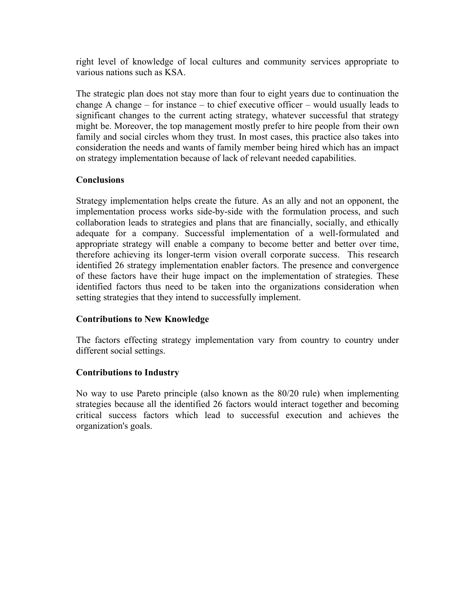right level of knowledge of local cultures and community services appropriate to various nations such as KSA.

The strategic plan does not stay more than four to eight years due to continuation the change A change – for instance – to chief executive officer – would usually leads to significant changes to the current acting strategy, whatever successful that strategy might be. Moreover, the top management mostly prefer to hire people from their own family and social circles whom they trust. In most cases, this practice also takes into consideration the needs and wants of family member being hired which has an impact on strategy implementation because of lack of relevant needed capabilities.

# **Conclusions**

Strategy implementation helps create the future. As an ally and not an opponent, the implementation process works side-by-side with the formulation process, and such collaboration leads to strategies and plans that are financially, socially, and ethically adequate for a company. Successful implementation of a well-formulated and appropriate strategy will enable a company to become better and better over time, therefore achieving its longer-term vision overall corporate success. This research identified 26 strategy implementation enabler factors. The presence and convergence of these factors have their huge impact on the implementation of strategies. These identified factors thus need to be taken into the organizations consideration when setting strategies that they intend to successfully implement.

# **Contributions to New Knowledge**

The factors effecting strategy implementation vary from country to country under different social settings.

# **Contributions to Industry**

No way to use Pareto principle (also known as the 80/20 rule) when implementing strategies because all the identified 26 factors would interact together and becoming critical success factors which lead to successful execution and achieves the organization's goals.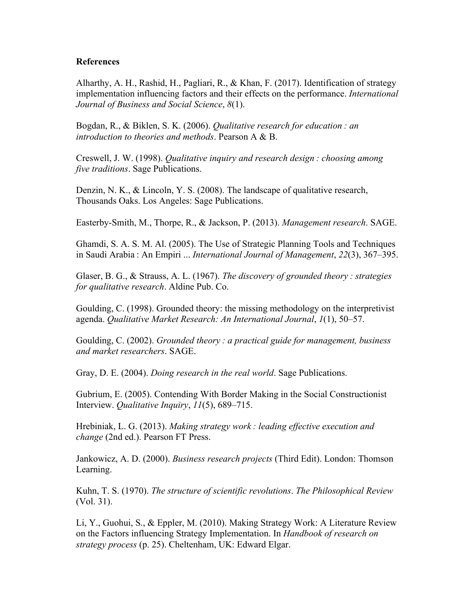#### **References**

Alharthy, A. H., Rashid, H., Pagliari, R., & Khan, F. (2017). Identification of strategy implementation influencing factors and their effects on the performance. *International Journal of Business and Social Science*, *8*(1).

Bogdan, R., & Biklen, S. K. (2006). *Qualitative research for education : an introduction to theories and methods*. Pearson A & B.

Creswell, J. W. (1998). *Qualitative inquiry and research design : choosing among five traditions*. Sage Publications.

Denzin, N. K., & Lincoln, Y. S. (2008). The landscape of qualitative research, Thousands Oaks. Los Angeles: Sage Publications.

Easterby-Smith, M., Thorpe, R., & Jackson, P. (2013). *Management research*. SAGE.

Ghamdi, S. A. S. M. Al. (2005). The Use of Strategic Planning Tools and Techniques in Saudi Arabia : An Empiri ... *International Journal of Management*, *22*(3), 367–395.

Glaser, B. G., & Strauss, A. L. (1967). *The discovery of grounded theory : strategies for qualitative research*. Aldine Pub. Co.

Goulding, C. (1998). Grounded theory: the missing methodology on the interpretivist agenda. *Qualitative Market Research: An International Journal*, *1*(1), 50–57.

Goulding, C. (2002). *Grounded theory : a practical guide for management, business and market researchers*. SAGE.

Gray, D. E. (2004). *Doing research in the real world*. Sage Publications.

Gubrium, E. (2005). Contending With Border Making in the Social Constructionist Interview. *Qualitative Inquiry*, *11*(5), 689–715.

Hrebiniak, L. G. (2013). *Making strategy work : leading effective execution and change* (2nd ed.). Pearson FT Press.

Jankowicz, A. D. (2000). *Business research projects* (Third Edit). London: Thomson Learning.

Kuhn, T. S. (1970). *The structure of scientific revolutions*. *The Philosophical Review* (Vol. 31).

Li, Y., Guohui, S., & Eppler, M. (2010). Making Strategy Work: A Literature Review on the Factors influencing Strategy Implementation. In *Handbook of research on strategy process* (p. 25). Cheltenham, UK: Edward Elgar.